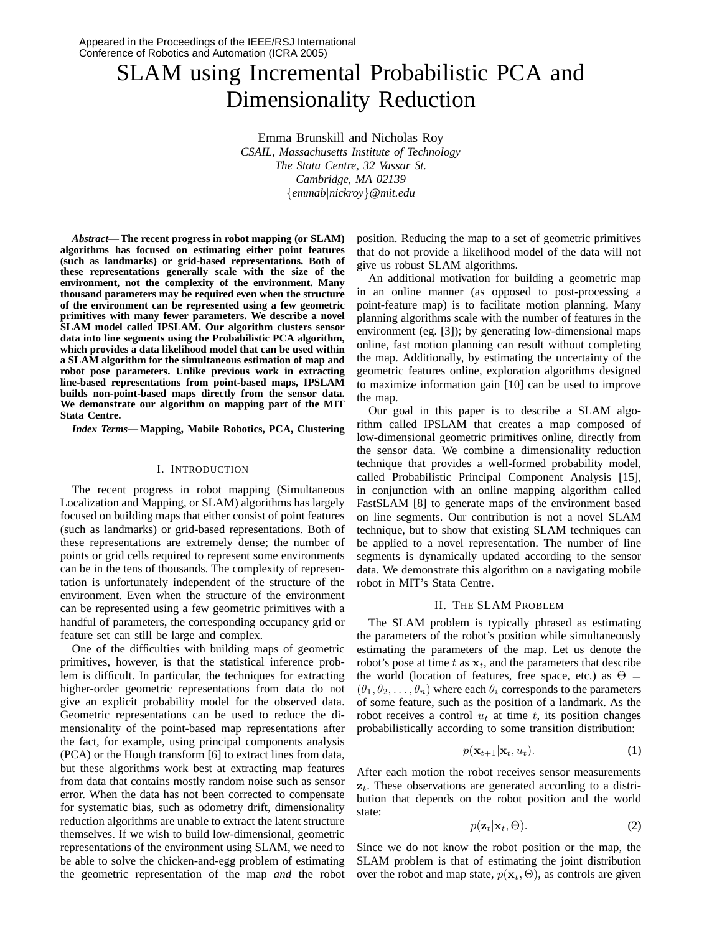# SLAM using Incremental Probabilistic PCA and Dimensionality Reduction

Emma Brunskill and Nicholas Roy *CSAIL, Massachusetts Institute of Technology The Stata Centre, 32 Vassar St. Cambridge, MA 02139* {*emmab*|*nickroy*}*@mit.edu*

*Abstract***—The recent progress in robot mapping (or SLAM) algorithms has focused on estimating either point features (such as landmarks) or grid-based representations. Both of these representations generally scale with the size of the environment, not the complexity of the environment. Many thousand parameters may be required even when the structure of the environment can be represented using a few geometric primitives with many fewer parameters. We describe a novel SLAM model called IPSLAM. Our algorithm clusters sensor data into line segments using the Probabilistic PCA algorithm, which provides a data likelihood model that can be used within a SLAM algorithm for the simultaneous estimation of map and robot pose parameters. Unlike previous work in extracting line-based representations from point-based maps, IPSLAM builds non-point-based maps directly from the sensor data. We demonstrate our algorithm on mapping part of the MIT Stata Centre.**

*Index Terms***— Mapping, Mobile Robotics, PCA, Clustering**

#### I. INTRODUCTION

The recent progress in robot mapping (Simultaneous Localization and Mapping, or SLAM) algorithms has largely focused on building maps that either consist of point features (such as landmarks) or grid-based representations. Both of these representations are extremely dense; the number of points or grid cells required to represent some environments can be in the tens of thousands. The complexity of representation is unfortunately independent of the structure of the environment. Even when the structure of the environment can be represented using a few geometric primitives with a handful of parameters, the corresponding occupancy grid or feature set can still be large and complex.

One of the difficulties with building maps of geometric primitives, however, is that the statistical inference problem is difficult. In particular, the techniques for extracting higher-order geometric representations from data do not give an explicit probability model for the observed data. Geometric representations can be used to reduce the dimensionality of the point-based map representations after the fact, for example, using principal components analysis (PCA) or the Hough transform [6] to extract lines from data, but these algorithms work best at extracting map features from data that contains mostly random noise such as sensor error. When the data has not been corrected to compensate for systematic bias, such as odometry drift, dimensionality reduction algorithms are unable to extract the latent structure themselves. If we wish to build low-dimensional, geometric representations of the environment using SLAM, we need to be able to solve the chicken-and-egg problem of estimating the geometric representation of the map *and* the robot position. Reducing the map to a set of geometric primitives that do not provide a likelihood model of the data will not give us robust SLAM algorithms.

An additional motivation for building a geometric map in an online manner (as opposed to post-processing a point-feature map) is to facilitate motion planning. Many planning algorithms scale with the number of features in the environment (eg. [3]); by generating low-dimensional maps online, fast motion planning can result without completing the map. Additionally, by estimating the uncertainty of the geometric features online, exploration algorithms designed to maximize information gain [10] can be used to improve the map.

Our goal in this paper is to describe a SLAM algorithm called IPSLAM that creates a map composed of low-dimensional geometric primitives online, directly from the sensor data. We combine a dimensionality reduction technique that provides a well-formed probability model, called Probabilistic Principal Component Analysis [15], in conjunction with an online mapping algorithm called FastSLAM [8] to generate maps of the environment based on line segments. Our contribution is not a novel SLAM technique, but to show that existing SLAM techniques can be applied to a novel representation. The number of line segments is dynamically updated according to the sensor data. We demonstrate this algorithm on a navigating mobile robot in MIT's Stata Centre.

#### II. THE SLAM PROBLEM

The SLAM problem is typically phrased as estimating the parameters of the robot's position while simultaneously estimating the parameters of the map. Let us denote the robot's pose at time t as  $x_t$ , and the parameters that describe the world (location of features, free space, etc.) as  $\Theta =$  $(\theta_1, \theta_2, \ldots, \theta_n)$  where each  $\theta_i$  corresponds to the parameters of some feature, such as the position of a landmark. As the robot receives a control  $u_t$  at time t, its position changes probabilistically according to some transition distribution:

$$
p(\mathbf{x}_{t+1}|\mathbf{x}_t, u_t). \tag{1}
$$

After each motion the robot receives sensor measurements  $z_t$ . These observations are generated according to a distribution that depends on the robot position and the world state:

$$
p(\mathbf{z}_t|\mathbf{x}_t,\Theta). \tag{2}
$$

Since we do not know the robot position or the map, the SLAM problem is that of estimating the joint distribution over the robot and map state,  $p(\mathbf{x}_t, \Theta)$ , as controls are given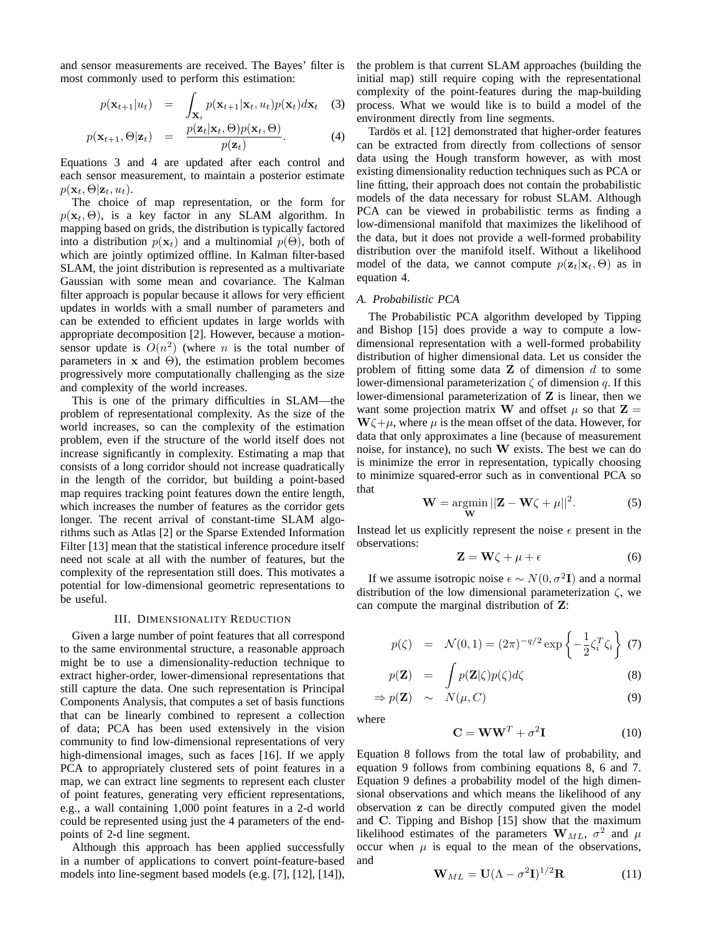and sensor measurements are received. The Bayes' filter is most commonly used to perform this estimation:

$$
p(\mathbf{x}_{t+1}|u_t) = \int_{\mathbf{X}_t} p(\mathbf{x}_{t+1}|\mathbf{x}_t, u_t) p(\mathbf{x}_t) d\mathbf{x}_t \quad (3)
$$

$$
p(\mathbf{x}_{t+1}, \Theta | \mathbf{z}_t) = \frac{p(\mathbf{z}_t | \mathbf{x}_t, \Theta) p(\mathbf{x}_t, \Theta)}{p(\mathbf{z}_t)}.
$$
 (4)

Equations 3 and 4 are updated after each control and each sensor measurement, to maintain a posterior estimate  $p(\mathbf{x}_t, \Theta | \mathbf{z}_t, u_t).$ 

The choice of map representation, or the form for  $p(\mathbf{x}_t, \Theta)$ , is a key factor in any SLAM algorithm. In mapping based on grids, the distribution is typically factored into a distribution  $p(\mathbf{x}_t)$  and a multinomial  $p(\Theta)$ , both of which are jointly optimized offline. In Kalman filter-based SLAM, the joint distribution is represented as a multivariate Gaussian with some mean and covariance. The Kalman filter approach is popular because it allows for very efficient updates in worlds with a small number of parameters and can be extended to efficient updates in large worlds with appropriate decomposition [2]. However, because a motionsensor update is  $O(n^2)$  (where *n* is the total number of parameters in  $x$  and  $\Theta$ ), the estimation problem becomes progressively more computationally challenging as the size and complexity of the world increases.

This is one of the primary difficulties in SLAM—the problem of representational complexity. As the size of the world increases, so can the complexity of the estimation problem, even if the structure of the world itself does not increase significantly in complexity. Estimating a map that consists of a long corridor should not increase quadratically in the length of the corridor, but building a point-based map requires tracking point features down the entire length, which increases the number of features as the corridor gets longer. The recent arrival of constant-time SLAM algorithms such as Atlas [2] or the Sparse Extended Information Filter [13] mean that the statistical inference procedure itself need not scale at all with the number of features, but the complexity of the representation still does. This motivates a potential for low-dimensional geometric representations to be useful.

# III. DIMENSIONALITY REDUCTION

Given a large number of point features that all correspond to the same environmental structure, a reasonable approach might be to use a dimensionality-reduction technique to extract higher-order, lower-dimensional representations that still capture the data. One such representation is Principal Components Analysis, that computes a set of basis functions that can be linearly combined to represent a collection of data; PCA has been used extensively in the vision community to find low-dimensional representations of very high-dimensional images, such as faces [16]. If we apply PCA to appropriately clustered sets of point features in a map, we can extract line segments to represent each cluster of point features, generating very efficient representations, e.g., a wall containing 1,000 point features in a 2-d world could be represented using just the 4 parameters of the endpoints of 2-d line segment.

Although this approach has been applied successfully in a number of applications to convert point-feature-based models into line-segment based models (e.g. [7], [12], [14]), the problem is that current SLAM approaches (building the initial map) still require coping with the representational complexity of the point-features during the map-building process. What we would like is to build a model of the environment directly from line segments.

Tardös et al. [12] demonstrated that higher-order features can be extracted from directly from collections of sensor data using the Hough transform however, as with most existing dimensionality reduction techniques such as PCA or line fitting, their approach does not contain the probabilistic models of the data necessary for robust SLAM. Although PCA can be viewed in probabilistic terms as finding a low-dimensional manifold that maximizes the likelihood of the data, but it does not provide a well-formed probability distribution over the manifold itself. Without a likelihood model of the data, we cannot compute  $p(\mathbf{z}_t|\mathbf{x}_t, \Theta)$  as in equation 4.

# *A. Probabilistic PCA*

The Probabilistic PCA algorithm developed by Tipping and Bishop [15] does provide a way to compute a lowdimensional representation with a well-formed probability distribution of higher dimensional data. Let us consider the problem of fitting some data  $Z$  of dimension  $d$  to some lower-dimensional parameterization  $\zeta$  of dimension q. If this lower-dimensional parameterization of Z is linear, then we want some projection matrix W and offset  $\mu$  so that  $\mathbf{Z} =$  $W\zeta+\mu$ , where  $\mu$  is the mean offset of the data. However, for data that only approximates a line (because of measurement noise, for instance), no such W exists. The best we can do is minimize the error in representation, typically choosing to minimize squared-error such as in conventional PCA so that

$$
\mathbf{W} = \underset{\mathbf{W}}{\operatorname{argmin}} \, ||\mathbf{Z} - \mathbf{W}\zeta + \mu||^2. \tag{5}
$$

Instead let us explicitly represent the noise  $\epsilon$  present in the observations:

$$
\mathbf{Z} = \mathbf{W}\zeta + \mu + \epsilon \tag{6}
$$

If we assume isotropic noise  $\epsilon \sim N(0, \sigma^2 \mathbf{I})$  and a normal distribution of the low dimensional parameterization  $\zeta$ , we can compute the marginal distribution of Z:

$$
p(\zeta) = \mathcal{N}(0, 1) = (2\pi)^{-q/2} \exp\left\{-\frac{1}{2}\zeta_i^T \zeta_i\right\}
$$
 (7)

$$
p(\mathbf{Z}) = \int p(\mathbf{Z}|\zeta)p(\zeta)d\zeta
$$
\n
$$
\Rightarrow p(\mathbf{Z}) \sim N(\mu, C) \tag{9}
$$

where

$$
\mathbf{C} = \mathbf{W}\mathbf{W}^T + \sigma^2 \mathbf{I} \tag{10}
$$

Equation 8 follows from the total law of probability, and equation 9 follows from combining equations 8, 6 and 7. Equation 9 defines a probability model of the high dimensional observations and which means the likelihood of any observation z can be directly computed given the model and C. Tipping and Bishop [15] show that the maximum likelihood estimates of the parameters  $W_{ML}$ ,  $\sigma^2$  and  $\mu$ occur when  $\mu$  is equal to the mean of the observations, and

$$
\mathbf{W}_{ML} = \mathbf{U}(\Lambda - \sigma^2 \mathbf{I})^{1/2} \mathbf{R} \tag{11}
$$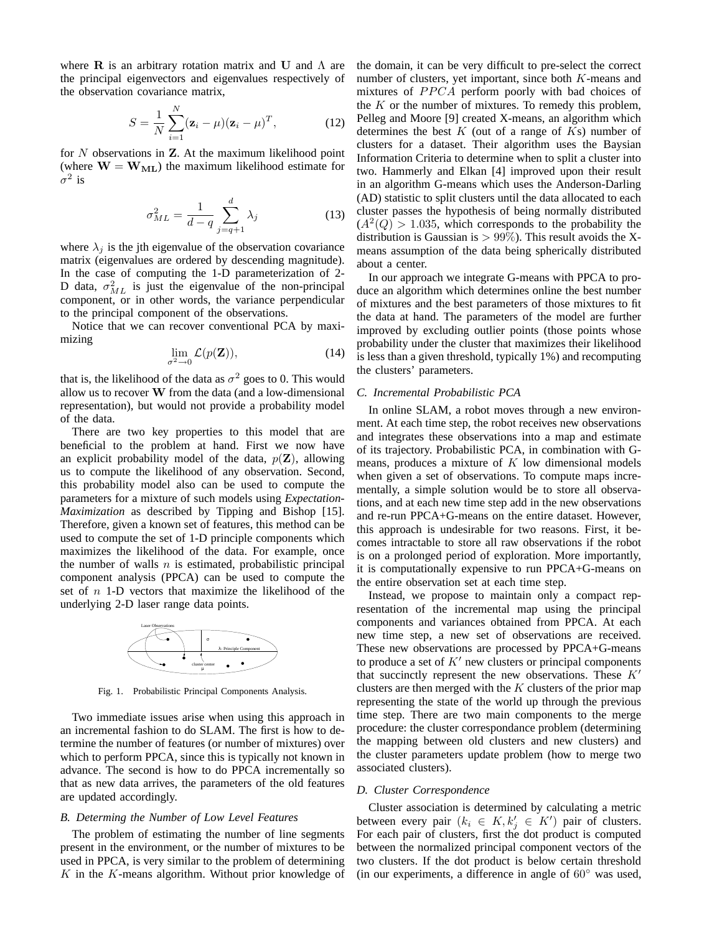where  $\bf{R}$  is an arbitrary rotation matrix and U and  $\Lambda$  are the principal eigenvectors and eigenvalues respectively of the observation covariance matrix,

$$
S = \frac{1}{N} \sum_{i=1}^{N} (\mathbf{z}_i - \mu)(\mathbf{z}_i - \mu)^T, \qquad (12)
$$

for  $N$  observations in  $Z$ . At the maximum likelihood point (where  $W = W_{ML}$ ) the maximum likelihood estimate for  $\sigma^2$  is

$$
\sigma_{ML}^2 = \frac{1}{d-q} \sum_{j=q+1}^d \lambda_j \tag{13}
$$

where  $\lambda_i$  is the jth eigenvalue of the observation covariance matrix (eigenvalues are ordered by descending magnitude). In the case of computing the 1-D parameterization of 2- D data,  $\sigma_{ML}^2$  is just the eigenvalue of the non-principal component, or in other words, the variance perpendicular to the principal component of the observations.

Notice that we can recover conventional PCA by maximizing

$$
\lim_{\sigma^2 \to 0} \mathcal{L}(p(\mathbf{Z})),\tag{14}
$$

that is, the likelihood of the data as  $\sigma^2$  goes to 0. This would allow us to recover W from the data (and a low-dimensional representation), but would not provide a probability model of the data.

There are two key properties to this model that are beneficial to the problem at hand. First we now have an explicit probability model of the data,  $p(\mathbf{Z})$ , allowing us to compute the likelihood of any observation. Second, this probability model also can be used to compute the parameters for a mixture of such models using *Expectation-Maximization* as described by Tipping and Bishop [15]. Therefore, given a known set of features, this method can be used to compute the set of 1-D principle components which maximizes the likelihood of the data. For example, once the number of walls  $n$  is estimated, probabilistic principal component analysis (PPCA) can be used to compute the set of  $n$  1-D vectors that maximize the likelihood of the underlying 2-D laser range data points.



Fig. 1. Probabilistic Principal Components Analysis.

Two immediate issues arise when using this approach in an incremental fashion to do SLAM. The first is how to determine the number of features (or number of mixtures) over which to perform PPCA, since this is typically not known in advance. The second is how to do PPCA incrementally so that as new data arrives, the parameters of the old features are updated accordingly.

# *B. Determing the Number of Low Level Features*

The problem of estimating the number of line segments present in the environment, or the number of mixtures to be used in PPCA, is very similar to the problem of determining  $K$  in the  $K$ -means algorithm. Without prior knowledge of the domain, it can be very difficult to pre-select the correct number of clusters, yet important, since both K-means and mixtures of PPCA perform poorly with bad choices of the  $K$  or the number of mixtures. To remedy this problem, Pelleg and Moore [9] created X-means, an algorithm which determines the best  $K$  (out of a range of  $Ks$ ) number of clusters for a dataset. Their algorithm uses the Baysian Information Criteria to determine when to split a cluster into two. Hammerly and Elkan [4] improved upon their result in an algorithm G-means which uses the Anderson-Darling (AD) statistic to split clusters until the data allocated to each cluster passes the hypothesis of being normally distributed  $(A<sup>2</sup>(Q) > 1.035$ , which corresponds to the probability the distribution is Gaussian is  $> 99\%$ ). This result avoids the Xmeans assumption of the data being spherically distributed about a center.

In our approach we integrate G-means with PPCA to produce an algorithm which determines online the best number of mixtures and the best parameters of those mixtures to fit the data at hand. The parameters of the model are further improved by excluding outlier points (those points whose probability under the cluster that maximizes their likelihood is less than a given threshold, typically 1%) and recomputing the clusters' parameters.

# *C. Incremental Probabilistic PCA*

In online SLAM, a robot moves through a new environment. At each time step, the robot receives new observations and integrates these observations into a map and estimate of its trajectory. Probabilistic PCA, in combination with Gmeans, produces a mixture of  $K$  low dimensional models when given a set of observations. To compute maps incrementally, a simple solution would be to store all observations, and at each new time step add in the new observations and re-run PPCA+G-means on the entire dataset. However, this approach is undesirable for two reasons. First, it becomes intractable to store all raw observations if the robot is on a prolonged period of exploration. More importantly, it is computationally expensive to run PPCA+G-means on the entire observation set at each time step.

Instead, we propose to maintain only a compact representation of the incremental map using the principal components and variances obtained from PPCA. At each new time step, a new set of observations are received. These new observations are processed by PPCA+G-means to produce a set of  $K'$  new clusters or principal components that succinctly represent the new observations. These  $K'$ clusters are then merged with the  $K$  clusters of the prior map representing the state of the world up through the previous time step. There are two main components to the merge procedure: the cluster correspondance problem (determining the mapping between old clusters and new clusters) and the cluster parameters update problem (how to merge two associated clusters).

# *D. Cluster Correspondence*

Cluster association is determined by calculating a metric between every pair  $(k_i \in K, k'_j \in K')$  pair of clusters. For each pair of clusters, first the dot product is computed between the normalized principal component vectors of the two clusters. If the dot product is below certain threshold (in our experiments, a difference in angle of  $60°$  was used,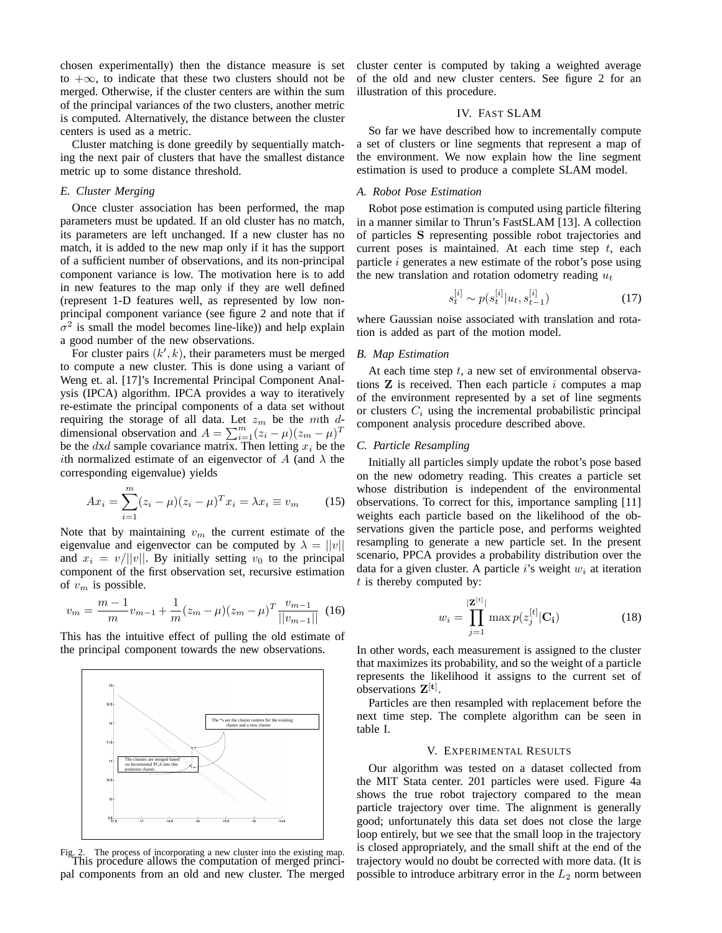chosen experimentally) then the distance measure is set to  $+\infty$ , to indicate that these two clusters should not be merged. Otherwise, if the cluster centers are within the sum of the principal variances of the two clusters, another metric is computed. Alternatively, the distance between the cluster centers is used as a metric.

Cluster matching is done greedily by sequentially matching the next pair of clusters that have the smallest distance metric up to some distance threshold.

# *E. Cluster Merging*

Once cluster association has been performed, the map parameters must be updated. If an old cluster has no match, its parameters are left unchanged. If a new cluster has no match, it is added to the new map only if it has the support of a sufficient number of observations, and its non-principal component variance is low. The motivation here is to add in new features to the map only if they are well defined (represent 1-D features well, as represented by low nonprincipal component variance (see figure 2 and note that if  $\sigma^2$  is small the model becomes line-like)) and help explain a good number of the new observations.

For cluster pairs  $(k', k)$ , their parameters must be merged to compute a new cluster. This is done using a variant of Weng et. al. [17]'s Incremental Principal Component Analysis (IPCA) algorithm. IPCA provides a way to iteratively re-estimate the principal components of a data set without requiring the storage of all data. Let  $z_m$  be the mth ddimensional observation and  $A = \sum_{i=1}^{m} (z_i - \mu)(z_m - \mu)^T$ be the  $dx/d$  sample covariance matrix. Then letting  $x_i$  be the ith normalized estimate of an eigenvector of A (and  $\lambda$  the corresponding eigenvalue) yields

$$
Ax_i = \sum_{i=1}^{m} (z_i - \mu)(z_i - \mu)^T x_i = \lambda x_i \equiv v_m \tag{15}
$$

Note that by maintaining  $v_m$  the current estimate of the eigenvalue and eigenvector can be computed by  $\lambda = ||v||$ and  $x_i = v/||v||$ . By initially setting  $v_0$  to the principal component of the first observation set, recursive estimation of  $v_m$  is possible.

$$
v_m = \frac{m-1}{m}v_{m-1} + \frac{1}{m}(z_m - \mu)(z_m - \mu)^T \frac{v_{m-1}}{||v_{m-1}||}
$$
 (16)

This has the intuitive effect of pulling the old estimate of the principal component towards the new observations.



Fig. 2. The process of incorporating a new cluster into the existing map. This procedure allows the computation of merged principal components from an old and new cluster. The merged

cluster center is computed by taking a weighted average of the old and new cluster centers. See figure 2 for an illustration of this procedure.

#### IV. FAST SLAM

So far we have described how to incrementally compute a set of clusters or line segments that represent a map of the environment. We now explain how the line segment estimation is used to produce a complete SLAM model.

#### *A. Robot Pose Estimation*

Robot pose estimation is computed using particle filtering in a manner similar to Thrun's FastSLAM [13]. A collection of particles S representing possible robot trajectories and current poses is maintained. At each time step  $t$ , each particle i generates a new estimate of the robot's pose using the new translation and rotation odometry reading  $u_t$ 

$$
s_t^{[i]} \sim p(s_t^{[i]} | u_t, s_{t-1}^{[i]})
$$
\n(17)

where Gaussian noise associated with translation and rotation is added as part of the motion model.

#### *B. Map Estimation*

At each time step  $t$ , a new set of environmental observations  $Z$  is received. Then each particle  $i$  computes a map of the environment represented by a set of line segments or clusters  $C_i$  using the incremental probabilistic principal component analysis procedure described above.

# *C. Particle Resampling*

Initially all particles simply update the robot's pose based on the new odometry reading. This creates a particle set whose distribution is independent of the environmental observations. To correct for this, importance sampling [11] weights each particle based on the likelihood of the observations given the particle pose, and performs weighted resampling to generate a new particle set. In the present scenario, PPCA provides a probability distribution over the data for a given cluster. A particle i's weight  $w_i$  at iteration  $t$  is thereby computed by:

$$
w_i = \prod_{j=1}^{|Z^{[t]}|} \max p(z_j^{[t]} | \mathbf{C_i})
$$
 (18)

In other words, each measurement is assigned to the cluster that maximizes its probability, and so the weight of a particle represents the likelihood it assigns to the current set of observations  $Z^{[t]}$ .

Particles are then resampled with replacement before the next time step. The complete algorithm can be seen in table I.

# V. EXPERIMENTAL RESULTS

Our algorithm was tested on a dataset collected from the MIT Stata center. 201 particles were used. Figure 4a shows the true robot trajectory compared to the mean particle trajectory over time. The alignment is generally good; unfortunately this data set does not close the large loop entirely, but we see that the small loop in the trajectory is closed appropriately, and the small shift at the end of the trajectory would no doubt be corrected with more data. (It is possible to introduce arbitrary error in the  $L_2$  norm between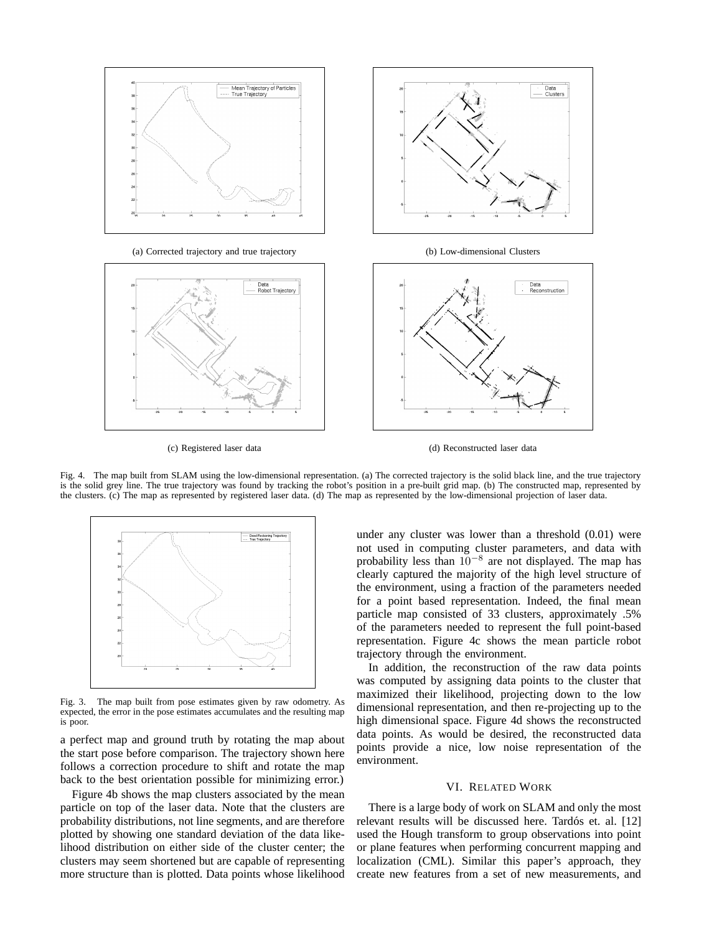

(a) Corrected trajectory and true trajectory (b) Low-dimensional Clusters



Data<br>Clusters



(c) Registered laser data (d) Reconstructed laser data

Fig. 4. The map built from SLAM using the low-dimensional representation. (a) The corrected trajectory is the solid black line, and the true trajectory is the solid grey line. The true trajectory was found by tracking the robot's position in a pre-built grid map. (b) The constructed map, represented by the clusters. (c) The map as represented by registered laser data. (d) The map as represented by the low-dimensional projection of laser data.



Fig. 3. The map built from pose estimates given by raw odometry. As expected, the error in the pose estimates accumulates and the resulting map is poor.

a perfect map and ground truth by rotating the map about the start pose before comparison. The trajectory shown here follows a correction procedure to shift and rotate the map back to the best orientation possible for minimizing error.)

Figure 4b shows the map clusters associated by the mean particle on top of the laser data. Note that the clusters are probability distributions, not line segments, and are therefore plotted by showing one standard deviation of the data likelihood distribution on either side of the cluster center; the clusters may seem shortened but are capable of representing more structure than is plotted. Data points whose likelihood under any cluster was lower than a threshold (0.01) were not used in computing cluster parameters, and data with probability less than  $10^{-8}$  are not displayed. The map has clearly captured the majority of the high level structure of the environment, using a fraction of the parameters needed for a point based representation. Indeed, the final mean particle map consisted of 33 clusters, approximately .5% of the parameters needed to represent the full point-based representation. Figure 4c shows the mean particle robot trajectory through the environment.

In addition, the reconstruction of the raw data points was computed by assigning data points to the cluster that maximized their likelihood, projecting down to the low dimensional representation, and then re-projecting up to the high dimensional space. Figure 4d shows the reconstructed data points. As would be desired, the reconstructed data points provide a nice, low noise representation of the environment.

#### VI. RELATED WORK

There is a large body of work on SLAM and only the most relevant results will be discussed here. Tardós et. al. [12] used the Hough transform to group observations into point or plane features when performing concurrent mapping and localization (CML). Similar this paper's approach, they create new features from a set of new measurements, and